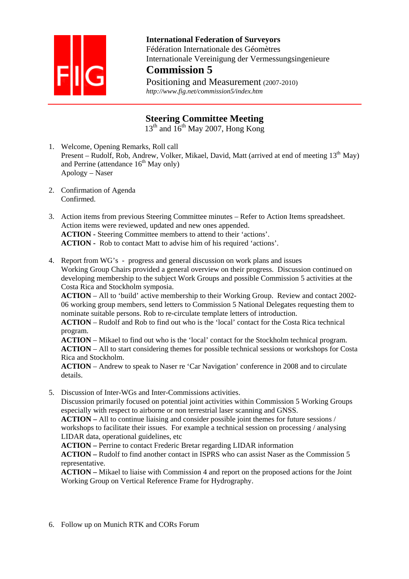

 **International Federation of Surveyors**  Fédération Internationale des Géomètres Internationale Vereinigung der Vermessungsingenieure

## **Commission 5**

Positioning and Measurement (2007-2010)  *http://www.fig.net/commission5/index.htm* 

## **Steering Committee Meeting**

 $13<sup>th</sup>$  and  $16<sup>th</sup>$  May 2007, Hong Kong

- 1. Welcome, Opening Remarks, Roll call Present – Rudolf, Rob, Andrew, Volker, Mikael, David, Matt (arrived at end of meeting  $13<sup>th</sup>$  May) and Perrine (attendance  $16<sup>th</sup>$  May only) Apology – Naser
- 2. Confirmation of Agenda Confirmed.

3. Action items from previous Steering Committee minutes – Refer to Action Items spreadsheet. Action items were reviewed, updated and new ones appended. **ACTION -** Steering Committee members to attend to their 'actions'. **ACTION -** Rob to contact Matt to advise him of his required 'actions'.

4. Report from WG's - progress and general discussion on work plans and issues Working Group Chairs provided a general overview on their progress. Discussion continued on developing membership to the subject Work Groups and possible Commission 5 activities at the Costa Rica and Stockholm symposia.

**ACTION** – All to 'build' active membership to their Working Group. Review and contact 2002- 06 working group members, send letters to Commission 5 National Delegates requesting them to nominate suitable persons. Rob to re-circulate template letters of introduction.

**ACTION** – Rudolf and Rob to find out who is the 'local' contact for the Costa Rica technical program.

**ACTION** – Mikael to find out who is the 'local' contact for the Stockholm technical program. **ACTION** – All to start considering themes for possible technical sessions or workshops for Costa Rica and Stockholm.

**ACTION** – Andrew to speak to Naser re 'Car Navigation' conference in 2008 and to circulate details.

5. Discussion of Inter-WGs and Inter-Commissions activities.

Discussion primarily focused on potential joint activities within Commission 5 Working Groups especially with respect to airborne or non terrestrial laser scanning and GNSS.

**ACTION –** All to continue liaising and consider possible joint themes for future sessions / workshops to facilitate their issues. For example a technical session on processing / analysing LIDAR data, operational guidelines, etc

**ACTION –** Perrine to contact Frederic Bretar regarding LIDAR information

**ACTION –** Rudolf to find another contact in ISPRS who can assist Naser as the Commission 5 representative.

**ACTION –** Mikael to liaise with Commission 4 and report on the proposed actions for the Joint Working Group on Vertical Reference Frame for Hydrography.

6. Follow up on Munich RTK and CORs Forum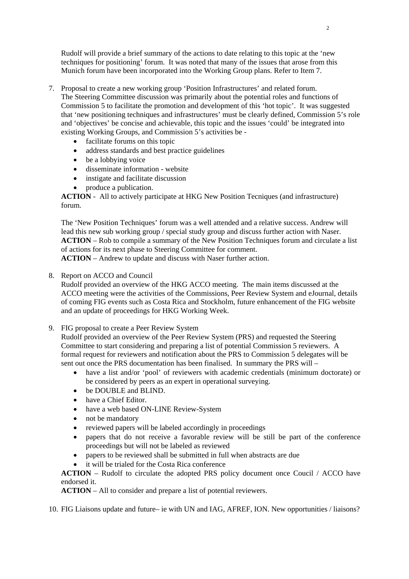Rudolf will provide a brief summary of the actions to date relating to this topic at the 'new techniques for positioning' forum. It was noted that many of the issues that arose from this Munich forum have been incorporated into the Working Group plans. Refer to Item 7.

- 7. Proposal to create a new working group 'Position Infrastructures' and related forum. The Steering Committee discussion was primarily about the potential roles and functions of Commission 5 to facilitate the promotion and development of this 'hot topic'. It was suggested that 'new positioning techniques and infrastructures' must be clearly defined, Commission 5's role and 'objectives' be concise and achievable, this topic and the issues 'could' be integrated into existing Working Groups, and Commission 5's activities be -
	- facilitate forums on this topic
	- address standards and best practice guidelines
	- be a lobbying voice
	- disseminate information website
	- instigate and facilitate discussion
	- produce a publication.

**ACTION** - All to actively participate at HKG New Position Tecniques (and infrastructure) forum.

The 'New Position Techniques' forum was a well attended and a relative success. Andrew will lead this new sub working group / special study group and discuss further action with Naser. **ACTION** – Rob to compile a summary of the New Position Techniques forum and circulate a list of actions for its next phase to Steering Committee for comment.

**ACTION** – Andrew to update and discuss with Naser further action.

8. Report on ACCO and Council

Rudolf provided an overview of the HKG ACCO meeting. The main items discussed at the ACCO meeting were the activities of the Commissions, Peer Review System and eJournal, details of coming FIG events such as Costa Rica and Stockholm, future enhancement of the FIG website and an update of proceedings for HKG Working Week.

9. FIG proposal to create a Peer Review System

Rudolf provided an overview of the Peer Review System (PRS) and requested the Steering Committee to start considering and preparing a list of potential Commission 5 reviewers. A formal request for reviewers and notification about the PRS to Commission 5 delegates will be sent out once the PRS documentation has been finalised. In summary the PRS will –

- have a list and/or 'pool' of reviewers with academic credentials (minimum doctorate) or be considered by peers as an expert in operational surveying.
- be DOUBLE and BLIND.
- have a Chief Editor.
- have a web based ON-LINE Review-System
- not be mandatory
- reviewed papers will be labeled accordingly in proceedings
- papers that do not receive a favorable review will be still be part of the conference proceedings but will not be labeled as reviewed
- papers to be reviewed shall be submitted in full when abstracts are due
- it will be trialed for the Costa Rica conference

**ACTION** – Rudolf to circulate the adopted PRS policy document once Coucil / ACCO have endorsed it.

**ACTION** – All to consider and prepare a list of potential reviewers.

10. FIG Liaisons update and future– ie with UN and IAG, AFREF, ION. New opportunities / liaisons?